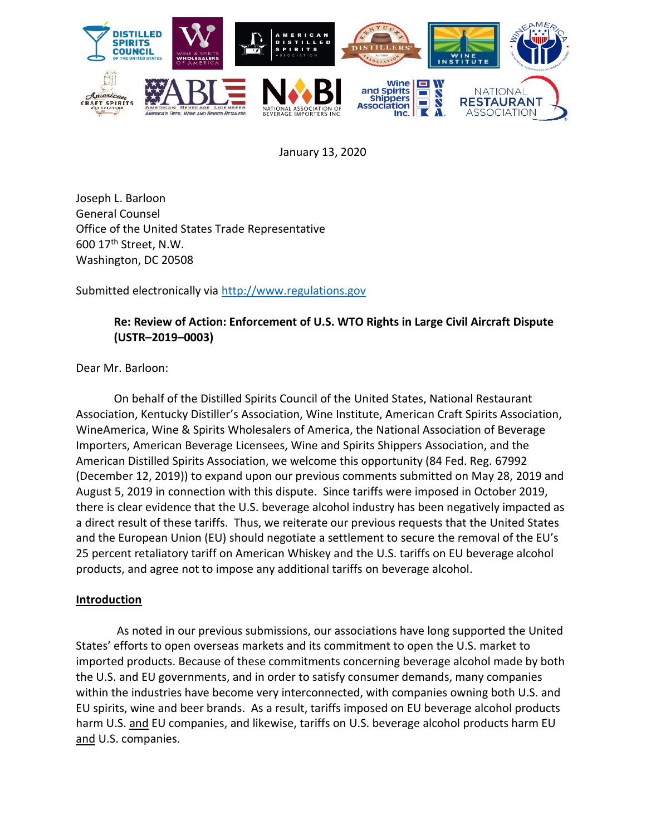

January 13, 2020

Joseph L. Barloon General Counsel Office of the United States Trade Representative 600 17th Street, N.W. Washington, DC 20508

Submitted electronically via [http://www.regulations.gov](http://www.regulations.gov/)

#### **Re: Review of Action: Enforcement of U.S. WTO Rights in Large Civil Aircraft Dispute (USTR–2019–0003)**

Dear Mr. Barloon:

On behalf of the Distilled Spirits Council of the United States, National Restaurant Association, Kentucky Distiller's Association, Wine Institute, American Craft Spirits Association, WineAmerica, Wine & Spirits Wholesalers of America, the National Association of Beverage Importers, American Beverage Licensees, Wine and Spirits Shippers Association, and the American Distilled Spirits Association, we welcome this opportunity (84 Fed. Reg. 67992 (December 12, 2019)) to expand upon our previous comments submitted on May 28, 2019 and August 5, 2019 in connection with this dispute. Since tariffs were imposed in October 2019, there is clear evidence that the U.S. beverage alcohol industry has been negatively impacted as a direct result of these tariffs. Thus, we reiterate our previous requests that the United States and the European Union (EU) should negotiate a settlement to secure the removal of the EU's 25 percent retaliatory tariff on American Whiskey and the U.S. tariffs on EU beverage alcohol products, and agree not to impose any additional tariffs on beverage alcohol.

#### **Introduction**

As noted in our previous submissions, our associations have long supported the United States' efforts to open overseas markets and its commitment to open the U.S. market to imported products. Because of these commitments concerning beverage alcohol made by both the U.S. and EU governments, and in order to satisfy consumer demands, many companies within the industries have become very interconnected, with companies owning both U.S. and EU spirits, wine and beer brands. As a result, tariffs imposed on EU beverage alcohol products harm U.S. and EU companies, and likewise, tariffs on U.S. beverage alcohol products harm EU and U.S. companies.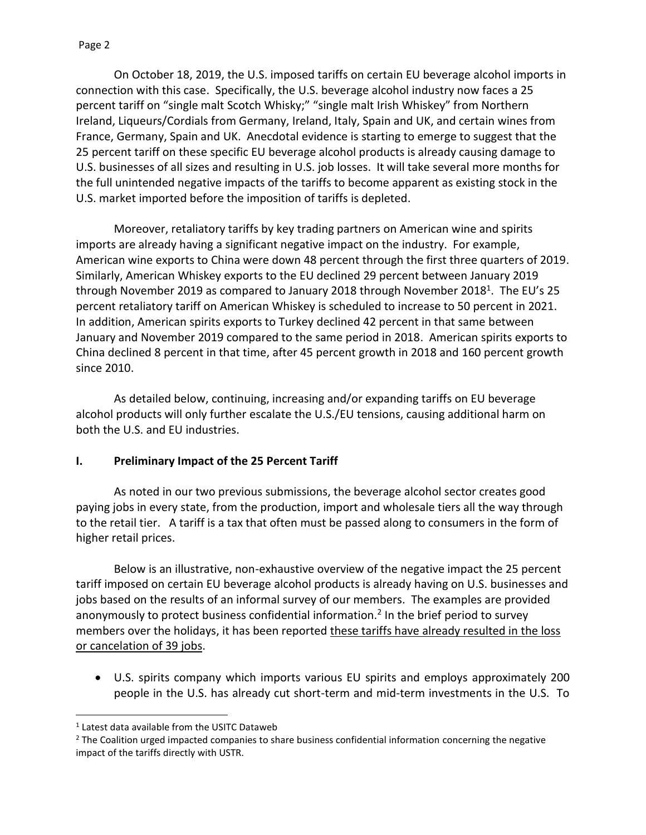On October 18, 2019, the U.S. imposed tariffs on certain EU beverage alcohol imports in connection with this case. Specifically, the U.S. beverage alcohol industry now faces a 25 percent tariff on "single malt Scotch Whisky;" "single malt Irish Whiskey" from Northern Ireland, Liqueurs/Cordials from Germany, Ireland, Italy, Spain and UK, and certain wines from France, Germany, Spain and UK. Anecdotal evidence is starting to emerge to suggest that the 25 percent tariff on these specific EU beverage alcohol products is already causing damage to U.S. businesses of all sizes and resulting in U.S. job losses. It will take several more months for the full unintended negative impacts of the tariffs to become apparent as existing stock in the U.S. market imported before the imposition of tariffs is depleted.

Moreover, retaliatory tariffs by key trading partners on American wine and spirits imports are already having a significant negative impact on the industry. For example, American wine exports to China were down 48 percent through the first three quarters of 2019. Similarly, American Whiskey exports to the EU declined 29 percent between January 2019 through November 2019 as compared to January 2018 through November 2018<sup>1</sup>. The EU's 25 percent retaliatory tariff on American Whiskey is scheduled to increase to 50 percent in 2021. In addition, American spirits exports to Turkey declined 42 percent in that same between January and November 2019 compared to the same period in 2018. American spirits exports to China declined 8 percent in that time, after 45 percent growth in 2018 and 160 percent growth since 2010.

As detailed below, continuing, increasing and/or expanding tariffs on EU beverage alcohol products will only further escalate the U.S./EU tensions, causing additional harm on both the U.S. and EU industries.

#### **I. Preliminary Impact of the 25 Percent Tariff**

As noted in our two previous submissions, the beverage alcohol sector creates good paying jobs in every state, from the production, import and wholesale tiers all the way through to the retail tier. A tariff is a tax that often must be passed along to consumers in the form of higher retail prices.

Below is an illustrative, non-exhaustive overview of the negative impact the 25 percent tariff imposed on certain EU beverage alcohol products is already having on U.S. businesses and jobs based on the results of an informal survey of our members. The examples are provided anonymously to protect business confidential information.<sup>2</sup> In the brief period to survey members over the holidays, it has been reported these tariffs have already resulted in the loss or cancelation of 39 jobs.

• U.S. spirits company which imports various EU spirits and employs approximately 200 people in the U.S. has already cut short-term and mid-term investments in the U.S. To

 $<sup>1</sup>$  Latest data available from the USITC Dataweb</sup>

<sup>&</sup>lt;sup>2</sup> The Coalition urged impacted companies to share business confidential information concerning the negative impact of the tariffs directly with USTR.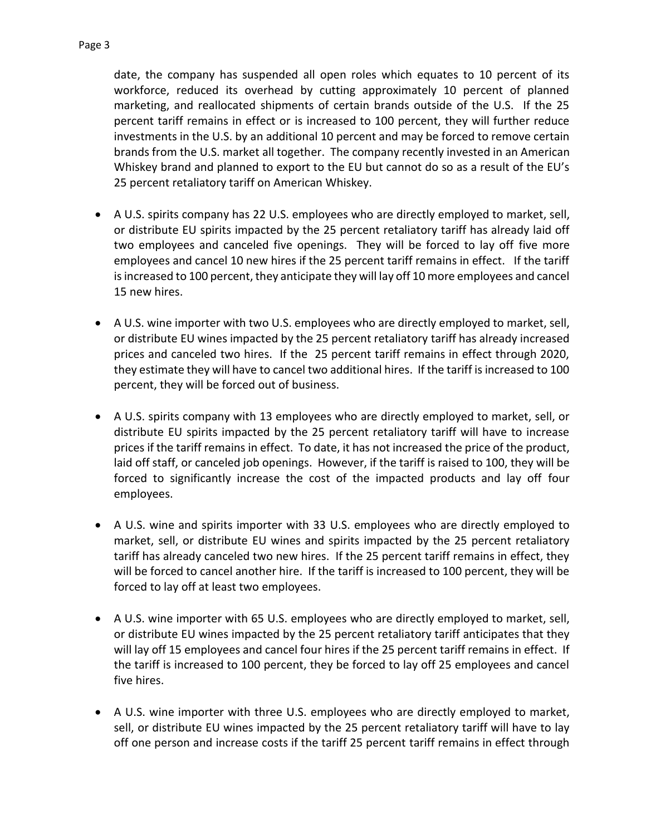date, the company has suspended all open roles which equates to 10 percent of its workforce, reduced its overhead by cutting approximately 10 percent of planned marketing, and reallocated shipments of certain brands outside of the U.S. If the 25 percent tariff remains in effect or is increased to 100 percent, they will further reduce investments in the U.S. by an additional 10 percent and may be forced to remove certain brands from the U.S. market all together. The company recently invested in an American Whiskey brand and planned to export to the EU but cannot do so as a result of the EU's 25 percent retaliatory tariff on American Whiskey.

- A U.S. spirits company has 22 U.S. employees who are directly employed to market, sell, or distribute EU spirits impacted by the 25 percent retaliatory tariff has already laid off two employees and canceled five openings. They will be forced to lay off five more employees and cancel 10 new hires if the 25 percent tariff remains in effect. If the tariff is increased to 100 percent, they anticipate they will lay off 10 more employees and cancel 15 new hires.
- A U.S. wine importer with two U.S. employees who are directly employed to market, sell, or distribute EU wines impacted by the 25 percent retaliatory tariff has already increased prices and canceled two hires. If the 25 percent tariff remains in effect through 2020, they estimate they will have to cancel two additional hires. If the tariff is increased to 100 percent, they will be forced out of business.
- A U.S. spirits company with 13 employees who are directly employed to market, sell, or distribute EU spirits impacted by the 25 percent retaliatory tariff will have to increase prices if the tariff remains in effect. To date, it has not increased the price of the product, laid off staff, or canceled job openings. However, if the tariff is raised to 100, they will be forced to significantly increase the cost of the impacted products and lay off four employees.
- A U.S. wine and spirits importer with 33 U.S. employees who are directly employed to market, sell, or distribute EU wines and spirits impacted by the 25 percent retaliatory tariff has already canceled two new hires. If the 25 percent tariff remains in effect, they will be forced to cancel another hire. If the tariff is increased to 100 percent, they will be forced to lay off at least two employees.
- A U.S. wine importer with 65 U.S. employees who are directly employed to market, sell, or distribute EU wines impacted by the 25 percent retaliatory tariff anticipates that they will lay off 15 employees and cancel four hires if the 25 percent tariff remains in effect. If the tariff is increased to 100 percent, they be forced to lay off 25 employees and cancel five hires.
- A U.S. wine importer with three U.S. employees who are directly employed to market, sell, or distribute EU wines impacted by the 25 percent retaliatory tariff will have to lay off one person and increase costs if the tariff 25 percent tariff remains in effect through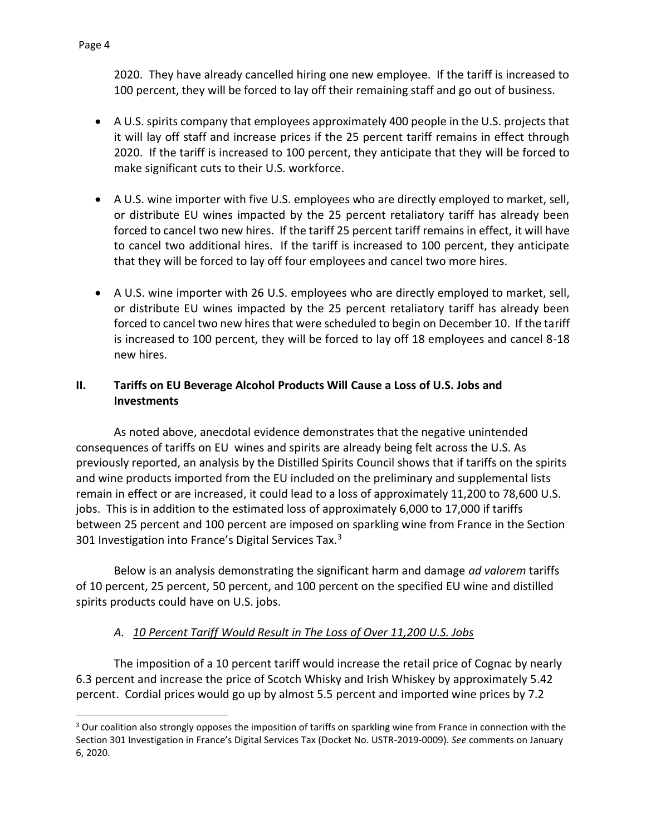2020. They have already cancelled hiring one new employee. If the tariff is increased to 100 percent, they will be forced to lay off their remaining staff and go out of business.

- A U.S. spirits company that employees approximately 400 people in the U.S. projects that it will lay off staff and increase prices if the 25 percent tariff remains in effect through 2020. If the tariff is increased to 100 percent, they anticipate that they will be forced to make significant cuts to their U.S. workforce.
- A U.S. wine importer with five U.S. employees who are directly employed to market, sell, or distribute EU wines impacted by the 25 percent retaliatory tariff has already been forced to cancel two new hires. If the tariff 25 percent tariff remains in effect, it will have to cancel two additional hires. If the tariff is increased to 100 percent, they anticipate that they will be forced to lay off four employees and cancel two more hires.
- A U.S. wine importer with 26 U.S. employees who are directly employed to market, sell, or distribute EU wines impacted by the 25 percent retaliatory tariff has already been forced to cancel two new hires that were scheduled to begin on December 10. If the tariff is increased to 100 percent, they will be forced to lay off 18 employees and cancel 8-18 new hires.

#### **II. Tariffs on EU Beverage Alcohol Products Will Cause a Loss of U.S. Jobs and Investments**

As noted above, anecdotal evidence demonstrates that the negative unintended consequences of tariffs on EU wines and spirits are already being felt across the U.S. As previously reported, an analysis by the Distilled Spirits Council shows that if tariffs on the spirits and wine products imported from the EU included on the preliminary and supplemental lists remain in effect or are increased, it could lead to a loss of approximately 11,200 to 78,600 U.S. jobs. This is in addition to the estimated loss of approximately 6,000 to 17,000 if tariffs between 25 percent and 100 percent are imposed on sparkling wine from France in the Section 301 Investigation into France's Digital Services Tax.<sup>3</sup>

Below is an analysis demonstrating the significant harm and damage *ad valorem* tariffs of 10 percent, 25 percent, 50 percent, and 100 percent on the specified EU wine and distilled spirits products could have on U.S. jobs.

## *A. 10 Percent Tariff Would Result in The Loss of Over 11,200 U.S. Jobs*

The imposition of a 10 percent tariff would increase the retail price of Cognac by nearly 6.3 percent and increase the price of Scotch Whisky and Irish Whiskey by approximately 5.42 percent. Cordial prices would go up by almost 5.5 percent and imported wine prices by 7.2

<sup>&</sup>lt;sup>3</sup> Our coalition also strongly opposes the imposition of tariffs on sparkling wine from France in connection with the Section 301 Investigation in France's Digital Services Tax (Docket No. USTR-2019-0009). *See* comments on January 6, 2020.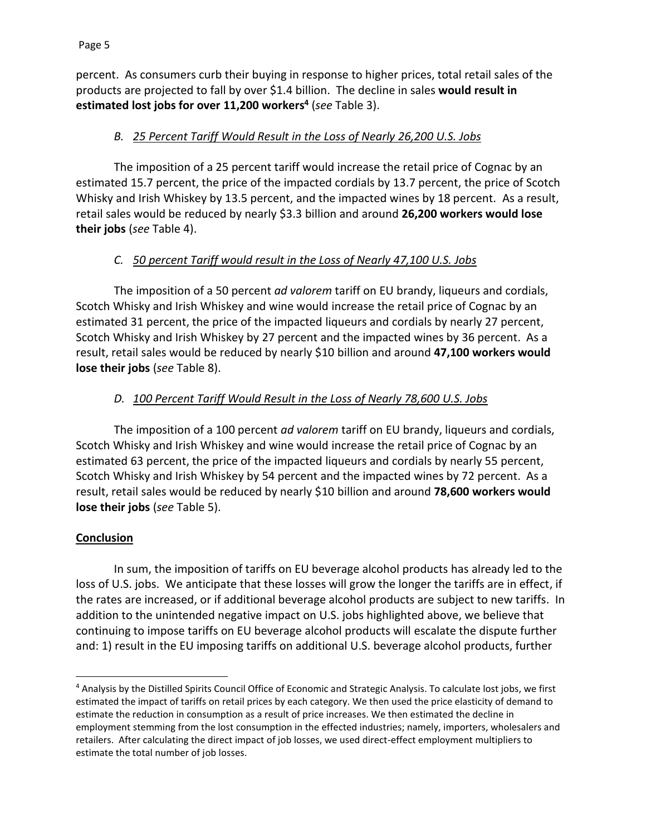percent. As consumers curb their buying in response to higher prices, total retail sales of the products are projected to fall by over \$1.4 billion. The decline in sales **would result in estimated lost jobs for over 11,200 workers<sup>4</sup>** (*see* Table 3).

## *B. 25 Percent Tariff Would Result in the Loss of Nearly 26,200 U.S. Jobs*

The imposition of a 25 percent tariff would increase the retail price of Cognac by an estimated 15.7 percent, the price of the impacted cordials by 13.7 percent, the price of Scotch Whisky and Irish Whiskey by 13.5 percent, and the impacted wines by 18 percent. As a result, retail sales would be reduced by nearly \$3.3 billion and around **26,200 workers would lose their jobs** (*see* Table 4).

## *C. 50 percent Tariff would result in the Loss of Nearly 47,100 U.S. Jobs*

The imposition of a 50 percent *ad valorem* tariff on EU brandy, liqueurs and cordials, Scotch Whisky and Irish Whiskey and wine would increase the retail price of Cognac by an estimated 31 percent, the price of the impacted liqueurs and cordials by nearly 27 percent, Scotch Whisky and Irish Whiskey by 27 percent and the impacted wines by 36 percent. As a result, retail sales would be reduced by nearly \$10 billion and around **47,100 workers would lose their jobs** (*see* Table 8).

#### *D. 100 Percent Tariff Would Result in the Loss of Nearly 78,600 U.S. Jobs*

The imposition of a 100 percent *ad valorem* tariff on EU brandy, liqueurs and cordials, Scotch Whisky and Irish Whiskey and wine would increase the retail price of Cognac by an estimated 63 percent, the price of the impacted liqueurs and cordials by nearly 55 percent, Scotch Whisky and Irish Whiskey by 54 percent and the impacted wines by 72 percent. As a result, retail sales would be reduced by nearly \$10 billion and around **78,600 workers would lose their jobs** (*see* Table 5).

#### **Conclusion**

In sum, the imposition of tariffs on EU beverage alcohol products has already led to the loss of U.S. jobs. We anticipate that these losses will grow the longer the tariffs are in effect, if the rates are increased, or if additional beverage alcohol products are subject to new tariffs. In addition to the unintended negative impact on U.S. jobs highlighted above, we believe that continuing to impose tariffs on EU beverage alcohol products will escalate the dispute further and: 1) result in the EU imposing tariffs on additional U.S. beverage alcohol products, further

<sup>4</sup> Analysis by the Distilled Spirits Council Office of Economic and Strategic Analysis. To calculate lost jobs, we first estimated the impact of tariffs on retail prices by each category. We then used the price elasticity of demand to estimate the reduction in consumption as a result of price increases. We then estimated the decline in employment stemming from the lost consumption in the effected industries; namely, importers, wholesalers and retailers. After calculating the direct impact of job losses, we used direct-effect employment multipliers to estimate the total number of job losses.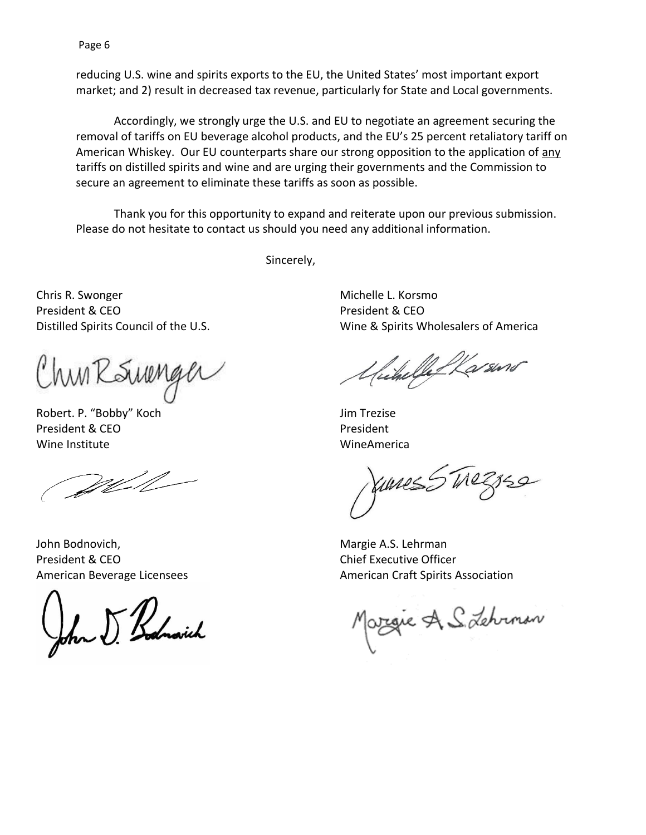Page 6

reducing U.S. wine and spirits exports to the EU, the United States' most important export market; and 2) result in decreased tax revenue, particularly for State and Local governments.

Accordingly, we strongly urge the U.S. and EU to negotiate an agreement securing the removal of tariffs on EU beverage alcohol products, and the EU's 25 percent retaliatory tariff on American Whiskey. Our EU counterparts share our strong opposition to the application of any tariffs on distilled spirits and wine and are urging their governments and the Commission to secure an agreement to eliminate these tariffs as soon as possible.

Thank you for this opportunity to expand and reiterate upon our previous submission. Please do not hesitate to contact us should you need any additional information.

Sincerely,

Chris R. Swonger President & CEO Distilled Spirits Council of the U.S.

Chun RSureng

Robert. P. "Bobby" Koch President & CEO Wine Institute

Well

John Bodnovich, President & CEO American Beverage Licensees

John J. Bodnovich

Michelle L. Korsmo President & CEO Wine & Spirits Wholesalers of America

hikelle Karsino

Jim Trezise President WineAmerica

Junes 5 Treznse

Margie A.S. Lehrman Chief Executive Officer American Craft Spirits Association

Orgie A S. Lehrman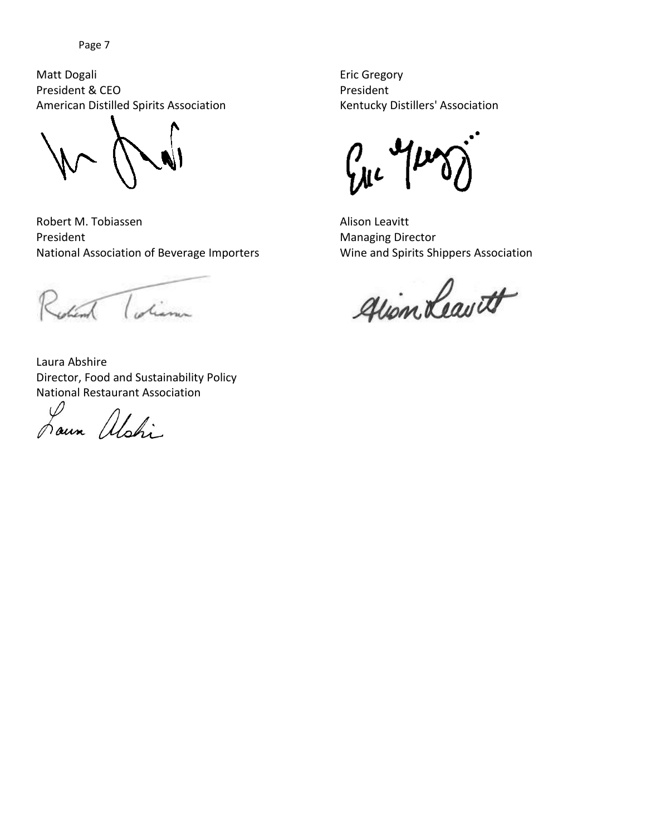Matt Dogali President & CEO American Distilled Spirits Association

Robert M. Tobiassen President National Association of Beverage Importers

when I diam

Laura Abshire Director, Food and Sustainability Policy National Restaurant Association

Louin alshi

Eric Gregory President Kentucky Distillers' Association

 $\int_{\mathcal{A}^{L}} \mathcal{A} \mu$ 

Alison Leavitt Managing Director Wine and Spirits Shippers Association

gion Leavett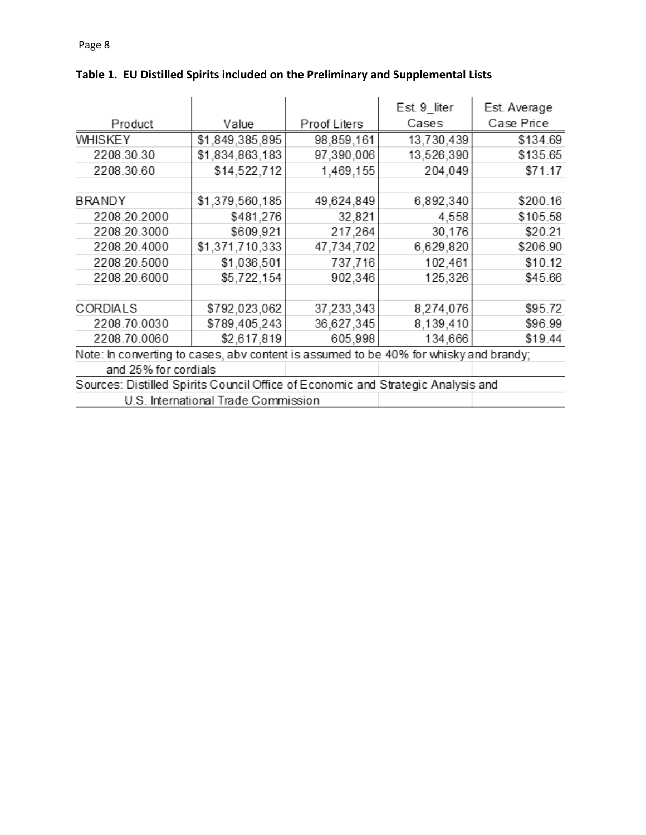|                                                                                       |                 |              | Est 9 liter | Est. Average |  |  |  |
|---------------------------------------------------------------------------------------|-----------------|--------------|-------------|--------------|--|--|--|
|                                                                                       |                 |              |             |              |  |  |  |
| Product                                                                               | Value           | Proof Liters | Cases       | Case Price   |  |  |  |
| <b>WHISKEY</b>                                                                        | \$1,849,385,895 | 98,859,161   | 13,730,439  | \$134.69     |  |  |  |
| 2208.30.30                                                                            | \$1,834,863,183 | 97,390,006   | 13,526,390  | \$135.65     |  |  |  |
| 2208.30.60                                                                            | \$14,522,712    | 1,469,155    | 204,049     | \$71.17      |  |  |  |
|                                                                                       |                 |              |             |              |  |  |  |
| <b>BRANDY</b>                                                                         | \$1,379,560,185 | 49,624,849   | 6,892,340   | \$200.16     |  |  |  |
| 2208.20.2000                                                                          | \$481,276       | 32,821       | 4,558       | \$105.58     |  |  |  |
| 2208.20.3000                                                                          | \$609,921       | 217,264      | 30,176      | \$20.21      |  |  |  |
| 2208.20.4000                                                                          | \$1,371,710,333 | 47,734,702   | 6,629,820   | \$206.90     |  |  |  |
| 2208.20.5000                                                                          | \$1,036,501     | 737,716      | 102,461     | \$10.12      |  |  |  |
| 2208.20.6000                                                                          | \$5,722,154     | 902,346      | 125,326     | \$45.66      |  |  |  |
|                                                                                       |                 |              |             |              |  |  |  |
| CORDIALS                                                                              | \$792,023,062   | 37,233,343   | 8,274,076   | \$95.72      |  |  |  |
| 2208.70.0030                                                                          | \$789,405,243   | 36,627,345   | 8,139,410   | \$96.99      |  |  |  |
| 2208.70.0060                                                                          | \$2,617,819     | 605,998      | 134,666     | \$19.44      |  |  |  |
| Note: In converting to cases, abv content is assumed to be 40% for whisky and brandy; |                 |              |             |              |  |  |  |
| and 25% for cordials                                                                  |                 |              |             |              |  |  |  |
| Sources: Distilled Spirits Council Office of Economic and Strategic Analysis and      |                 |              |             |              |  |  |  |

# **Table 1. EU Distilled Spirits included on the Preliminary and Supplemental Lists** $\ddot{\phantom{a}}$

U.S. International Trade Commission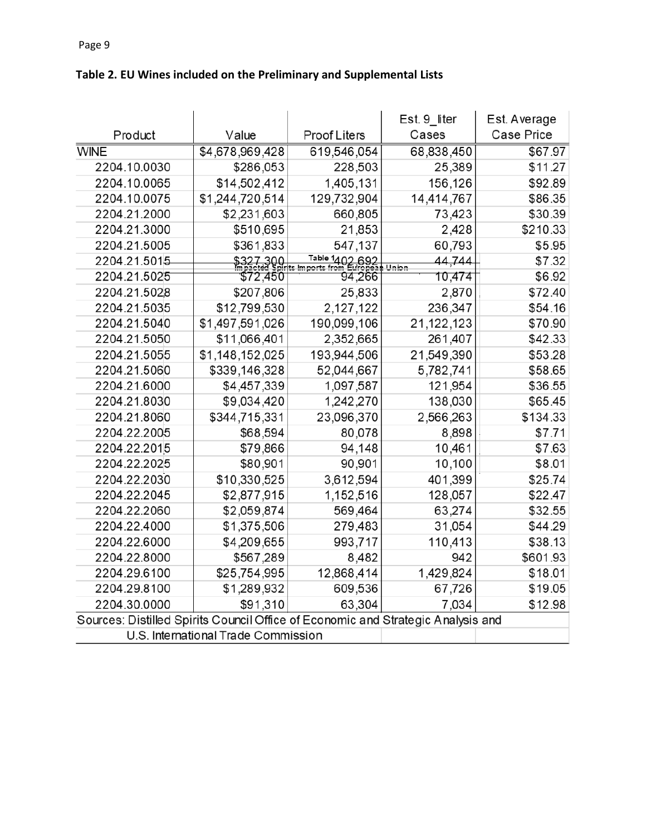|                                                                                  |                                     |                     | Est. 9_liter    | Est. Average |
|----------------------------------------------------------------------------------|-------------------------------------|---------------------|-----------------|--------------|
| Product                                                                          | Value                               | <b>Proof Liters</b> | Cases           | Case Price   |
| <b>WINE</b>                                                                      | \$4,678,969,428                     | 619,546,054         | 68,838,450      | \$67.97      |
| 2204.10.0030                                                                     | \$286,053                           | 228,503             | 25,389          | \$11.27      |
| 2204.10.0065                                                                     | \$14,502,412                        | 1,405,131           | 156,126         | \$92.89      |
| 2204.10.0075                                                                     | \$1,244,720,514                     | 129,732,904         | 14,414,767      | \$86.35      |
| 2204.21.2000                                                                     | \$2,231,603                         | 660,805             | 73,423          | \$30.39      |
| 2204.21.3000                                                                     | \$510,695                           | 21,853              | 2,428           | \$210.33     |
| 2204.21.5005                                                                     | \$361,833                           | 547,137             | 60,793          | \$5.95       |
| 2204.21.5015                                                                     | \$327.300 1941                      | Table 1402,692      | 44,744<br>Union | \$7.32       |
| 2204.21.5025                                                                     | \$72,450                            | 94,266              | 10,474          | \$6.92       |
| 2204.21.5028                                                                     | \$207,806                           | 25,833              | 2,870           | \$72.40      |
| 2204.21.5035                                                                     | \$12,799,530                        | 2,127,122           | 236,347         | \$54.16      |
| 2204.21.5040                                                                     | \$1,497,591,026                     | 190,099,106         | 21,122,123      | \$70.90      |
| 2204.21.5050                                                                     | \$11,066,401                        | 2,352,665           | 261,407         | \$42.33      |
| 2204.21.5055                                                                     | \$1,148,152,025                     | 193,944,506         | 21,549,390      | \$53.28      |
| 2204.21.5060                                                                     | \$339,146,328                       | 52,044,667          | 5,782,741       | \$58.65      |
| 2204.21.6000                                                                     | \$4,457,339                         | 1,097,587           | 121,954         | \$36.55      |
| 2204.21.8030                                                                     | \$9,034,420                         | 1,242,270           | 138,030         | \$65.45      |
| 2204.21.8060                                                                     | \$344,715,331                       | 23,096,370          | 2,566,263       | \$134.33     |
| 2204.22.2005                                                                     | \$68,594                            | 80,078              | 8,898           | \$7.71       |
| 2204.22.2015                                                                     | \$79,866                            | 94,148              | 10,461          | \$7.63       |
| 2204.22.2025                                                                     | \$80,901                            | 90,901              | 10,100          | \$8.01       |
| 2204.22.2030                                                                     | \$10,330,525                        | 3,612,594           | 401,399         | \$25.74      |
| 2204.22.2045                                                                     | \$2,877,915                         | 1,152,516           | 128,057         | \$22.47      |
| 2204.22.2060                                                                     | \$2,059,874                         | 569,464             | 63,274          | \$32.55      |
| 2204.22.4000                                                                     | \$1,375,506                         | 279,483             | 31,054          | \$44.29      |
| 2204.22.6000                                                                     | \$4,209,655                         | 993,717             | 110,413         | \$38.13      |
| 2204.22.8000                                                                     | \$567,289                           | 8,482               | 942             | \$601.93     |
| 2204.29.6100                                                                     | \$25,754,995                        | 12,868,414          | 1,429,824       | \$18.01      |
| 2204.29.8100                                                                     | \$1,289,932                         | 609,536             | 67,726          | \$19.05      |
| 2204.30.0000                                                                     | \$91,310                            | 63,304              | 7,034           | \$12.98      |
| Sources: Distilled Spirits Council Office of Economic and Strategic Analysis and |                                     |                     |                 |              |
|                                                                                  | U.S. International Trade Commission |                     |                 |              |

# **Table 2. EU Wines included on the Preliminary and Supplemental Lists**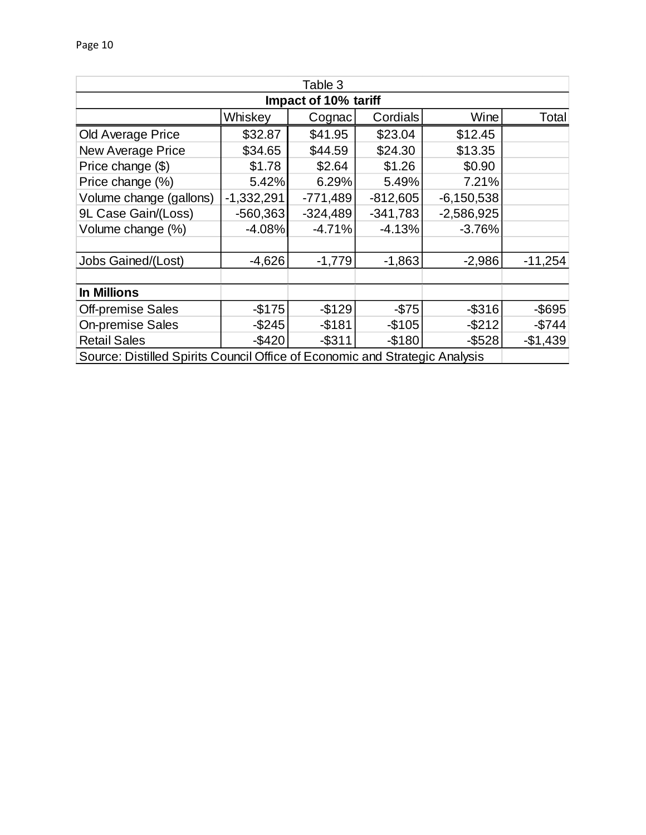| Table 3                                                                     |              |            |            |              |           |  |  |  |
|-----------------------------------------------------------------------------|--------------|------------|------------|--------------|-----------|--|--|--|
| Impact of 10% tariff                                                        |              |            |            |              |           |  |  |  |
| Whiskey<br><b>Cordials</b><br>Wine<br>Cognac                                |              |            |            |              |           |  |  |  |
| <b>Old Average Price</b>                                                    | \$32.87      | \$41.95    | \$23.04    | \$12.45      |           |  |  |  |
| New Average Price                                                           | \$34.65      | \$44.59    | \$24.30    | \$13.35      |           |  |  |  |
| Price change (\$)                                                           | \$1.78       | \$2.64     | \$1.26     | \$0.90       |           |  |  |  |
| Price change (%)                                                            | 5.42%        | 6.29%      | 5.49%      | 7.21%        |           |  |  |  |
| Volume change (gallons)                                                     | $-1,332,291$ | $-771,489$ | $-812,605$ | $-6,150,538$ |           |  |  |  |
| 9L Case Gain/(Loss)                                                         | $-560,363$   | $-324,489$ | $-341,783$ | $-2,586,925$ |           |  |  |  |
| Volume change (%)                                                           | $-4.08%$     | $-4.71%$   | $-4.13%$   | $-3.76%$     |           |  |  |  |
|                                                                             |              |            |            |              |           |  |  |  |
| Jobs Gained/(Lost)                                                          | $-4,626$     | $-1,779$   | $-1,863$   | $-2,986$     | $-11,254$ |  |  |  |
|                                                                             |              |            |            |              |           |  |  |  |
| <b>In Millions</b>                                                          |              |            |            |              |           |  |  |  |
| <b>Off-premise Sales</b>                                                    | $-$175$      | $-$129$    | $-$75$     | $-$ \$316    | $-$ \$695 |  |  |  |
| <b>On-premise Sales</b>                                                     | $-$ \$245    | $-$ \$181  | $-$105$    | $-$212$      | $-$744$   |  |  |  |
| <b>Retail Sales</b>                                                         | -\$420       | $-$ \$311  | $-$180$    | $-$ \$528    | $-$1,439$ |  |  |  |
| Source: Distilled Spirits Council Office of Economic and Strategic Analysis |              |            |            |              |           |  |  |  |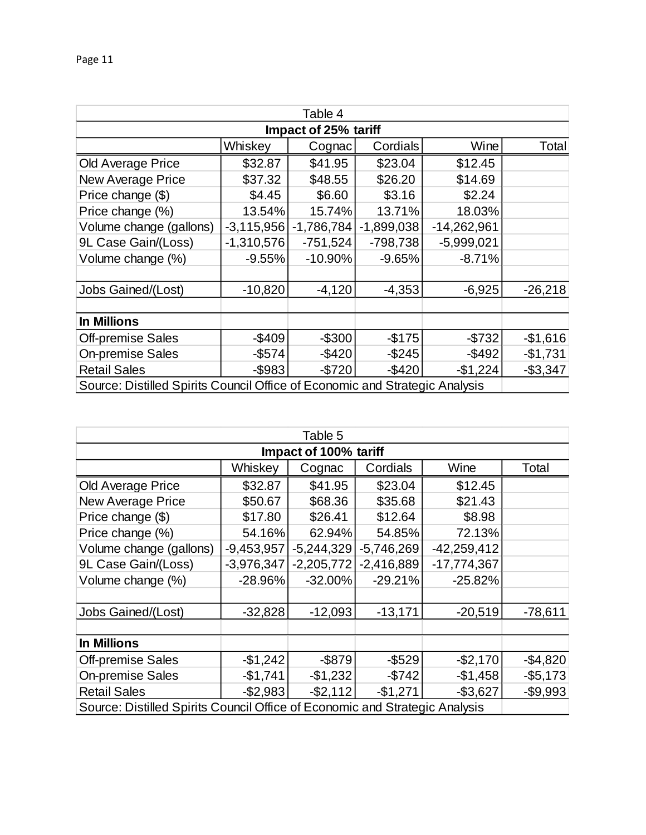| Table 4                                                                     |              |              |              |               |             |  |  |  |
|-----------------------------------------------------------------------------|--------------|--------------|--------------|---------------|-------------|--|--|--|
| Impact of 25% tariff                                                        |              |              |              |               |             |  |  |  |
| Whiskey<br>Cordials<br>Wine<br>Cognac                                       |              |              |              |               |             |  |  |  |
| <b>Old Average Price</b>                                                    | \$32.87      | \$41.95      | \$23.04      | \$12.45       |             |  |  |  |
| <b>New Average Price</b>                                                    | \$37.32      | \$48.55      | \$26.20      | \$14.69       |             |  |  |  |
| Price change (\$)                                                           | \$4.45       | \$6.60       | \$3.16       | \$2.24        |             |  |  |  |
| Price change (%)                                                            | 13.54%       | 15.74%       | 13.71%       | 18.03%        |             |  |  |  |
| Volume change (gallons)                                                     | $-3,115,956$ | $-1,786,784$ | $-1,899,038$ | $-14,262,961$ |             |  |  |  |
| 9L Case Gain/(Loss)                                                         | $-1,310,576$ | $-751,524$   | $-798,738$   | $-5,999,021$  |             |  |  |  |
| Volume change (%)                                                           | $-9.55%$     | $-10.90%$    | $-9.65%$     | $-8.71%$      |             |  |  |  |
|                                                                             |              |              |              |               |             |  |  |  |
| <b>Jobs Gained/(Lost)</b>                                                   | $-10,820$    | $-4,120$     | $-4,353$     | $-6,925$      | $-26,218$   |  |  |  |
|                                                                             |              |              |              |               |             |  |  |  |
| <b>In Millions</b>                                                          |              |              |              |               |             |  |  |  |
| <b>Off-premise Sales</b>                                                    | $-$ \$409    | $-$300$      | $-$ \$175    | $-$732$       | $-$1,616$   |  |  |  |
| <b>On-premise Sales</b>                                                     | -\$574       | $-$420$      | $-$ \$245    | $-$492$       | $-$1,731$   |  |  |  |
| <b>Retail Sales</b>                                                         | -\$983       | $-$720$      | $-$ \$420    | $-$1,224$     | $-$ \$3,347 |  |  |  |
| Source: Distilled Spirits Council Office of Economic and Strategic Analysis |              |              |              |               |             |  |  |  |

| Table 5                                                                     |              |              |              |               |           |  |  |
|-----------------------------------------------------------------------------|--------------|--------------|--------------|---------------|-----------|--|--|
| Impact of 100% tariff                                                       |              |              |              |               |           |  |  |
| Whiskey<br>Cordials<br>Wine<br>Cognac                                       |              |              |              |               |           |  |  |
| Old Average Price                                                           | \$32.87      | \$41.95      | \$23.04      | \$12.45       |           |  |  |
| <b>New Average Price</b>                                                    | \$50.67      | \$68.36      | \$35.68      | \$21.43       |           |  |  |
| Price change (\$)                                                           | \$17.80      | \$26.41      | \$12.64      | \$8.98        |           |  |  |
| Price change (%)                                                            | 54.16%       | 62.94%       | 54.85%       | 72.13%        |           |  |  |
| Volume change (gallons)                                                     | $-9,453,957$ | $-5,244,329$ | $-5,746,269$ | $-42,259,412$ |           |  |  |
| 9L Case Gain/(Loss)                                                         | $-3,976,347$ | $-2,205,772$ | $-2,416,889$ | $-17,774,367$ |           |  |  |
| Volume change (%)                                                           | $-28.96%$    | $-32.00%$    | $-29.21%$    | $-25.82%$     |           |  |  |
|                                                                             |              |              |              |               |           |  |  |
| Jobs Gained/(Lost)                                                          | $-32,828$    | $-12,093$    | $-13,171$    | $-20,519$     | $-78,611$ |  |  |
|                                                                             |              |              |              |               |           |  |  |
| <b>In Millions</b>                                                          |              |              |              |               |           |  |  |
| <b>Off-premise Sales</b>                                                    | $-$1,242$    | $-$ \$879    | $-$ \$529    | $-$2,170$     | $-$4,820$ |  |  |
| <b>On-premise Sales</b>                                                     | $-$1,741$    | $-$1,232$    | $-$742$      | $-$1,458$     | $-$5,173$ |  |  |
| <b>Retail Sales</b>                                                         | $-$2,983$    | $-$ \$2,112  | $-$1,271$    | $-$3,627$     | $-$9,993$ |  |  |
| Source: Distilled Spirits Council Office of Economic and Strategic Analysis |              |              |              |               |           |  |  |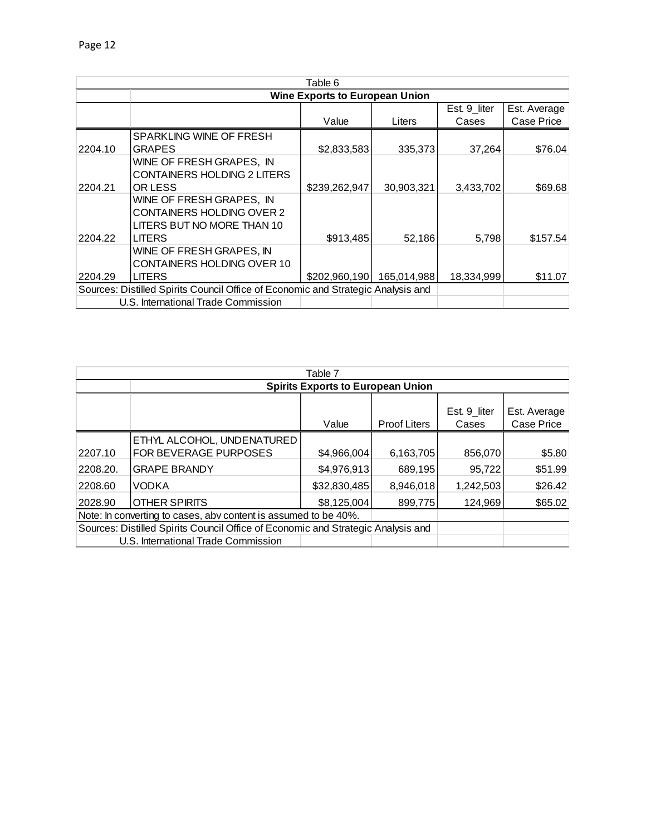| Table 6 |                                                                                  |               |             |              |              |  |  |
|---------|----------------------------------------------------------------------------------|---------------|-------------|--------------|--------------|--|--|
|         | <b>Wine Exports to European Union</b>                                            |               |             |              |              |  |  |
|         |                                                                                  |               |             | Est. 9_liter | Est. Average |  |  |
|         |                                                                                  | Value         | Liters      | Cases        | Case Price   |  |  |
|         | SPARKLING WINE OF FRESH                                                          |               |             |              |              |  |  |
| 2204.10 | <b>GRAPES</b>                                                                    | \$2,833,583   | 335,373     | 37,264       | \$76.04      |  |  |
|         | WINE OF FRESH GRAPES, IN                                                         |               |             |              |              |  |  |
|         | <b>CONTAINERS HOLDING 2 LITERS</b>                                               |               |             |              |              |  |  |
| 2204.21 | OR LESS                                                                          | \$239,262,947 | 30,903,321  | 3,433,702    | \$69.68      |  |  |
|         | WINE OF FRESH GRAPES, IN                                                         |               |             |              |              |  |  |
|         | <b>CONTAINERS HOLDING OVER 2</b>                                                 |               |             |              |              |  |  |
|         | LITERS BUT NO MORE THAN 10                                                       |               |             |              |              |  |  |
| 2204.22 | <b>LITERS</b>                                                                    | \$913,485     | 52,186      | 5,798        | \$157.54     |  |  |
|         | WINE OF FRESH GRAPES, IN                                                         |               |             |              |              |  |  |
|         | <b>CONTAINERS HOLDING OVER 10</b>                                                |               |             |              |              |  |  |
| 2204.29 | <b>LITERS</b>                                                                    | \$202,960,190 | 165.014.988 | 18,334,999   | \$11.07      |  |  |
|         | Sources: Distilled Spirits Council Office of Economic and Strategic Analysis and |               |             |              |              |  |  |
|         | U.S. International Trade Commission                                              |               |             |              |              |  |  |

| Table 7                                                                          |                                                            |              |                     |                       |                            |  |
|----------------------------------------------------------------------------------|------------------------------------------------------------|--------------|---------------------|-----------------------|----------------------------|--|
|                                                                                  | <b>Spirits Exports to European Union</b>                   |              |                     |                       |                            |  |
|                                                                                  |                                                            | Value        | <b>Proof Liters</b> | Est. 9 liter<br>Cases | Est. Average<br>Case Price |  |
| 2207.10                                                                          | ETHYL ALCOHOL, UNDENATURED<br><b>FOR BEVERAGE PURPOSES</b> | \$4,966,004  | 6,163,705           | 856,070               | \$5.80                     |  |
| 2208.20.                                                                         | <b>GRAPE BRANDY</b>                                        | \$4,976,913  | 689,195             | 95,722                | \$51.99                    |  |
| 2208.60                                                                          | <b>VODKA</b>                                               | \$32,830,485 | 8,946,018           | 1,242,503             | \$26.42                    |  |
| 2028.90                                                                          | <b>OTHER SPIRITS</b>                                       | \$8,125,004  | 899.775             | 124.969               | \$65.02                    |  |
| Note: In converting to cases, abv content is assumed to be 40%.                  |                                                            |              |                     |                       |                            |  |
| Sources: Distilled Spirits Council Office of Economic and Strategic Analysis and |                                                            |              |                     |                       |                            |  |
|                                                                                  | U.S. International Trade Commission                        |              |                     |                       |                            |  |